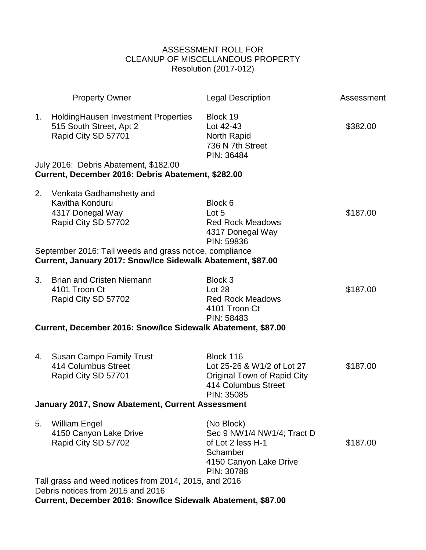## ASSESSMENT ROLL FOR CLEANUP OF MISCELLANEOUS PROPERTY Resolution (2017-012)

|                                                                                                                                                            | <b>Property Owner</b>                                                                                                  | <b>Legal Description</b>                                                                                           | Assessment |  |  |  |  |
|------------------------------------------------------------------------------------------------------------------------------------------------------------|------------------------------------------------------------------------------------------------------------------------|--------------------------------------------------------------------------------------------------------------------|------------|--|--|--|--|
| 1.                                                                                                                                                         | HoldingHausen Investment Properties<br>515 South Street, Apt 2<br>Rapid City SD 57701                                  | Block 19<br>Lot 42-43<br>North Rapid<br>736 N 7th Street<br>PIN: 36484                                             | \$382.00   |  |  |  |  |
|                                                                                                                                                            | July 2016: Debris Abatement, \$182.00<br>Current, December 2016: Debris Abatement, \$282.00                            |                                                                                                                    |            |  |  |  |  |
| 2.                                                                                                                                                         | Venkata Gadhamshetty and<br>Kavitha Konduru<br>4317 Donegal Way<br>Rapid City SD 57702                                 | Block 6<br>Lot 5<br><b>Red Rock Meadows</b><br>4317 Donegal Way<br>PIN: 59836                                      | \$187.00   |  |  |  |  |
|                                                                                                                                                            | September 2016: Tall weeds and grass notice, compliance<br>Current, January 2017: Snow/Ice Sidewalk Abatement, \$87.00 |                                                                                                                    |            |  |  |  |  |
| 3.                                                                                                                                                         | <b>Brian and Cristen Niemann</b><br>4101 Troon Ct<br>Rapid City SD 57702                                               | Block 3<br>Lot 28<br><b>Red Rock Meadows</b><br>4101 Troon Ct<br>PIN: 58483                                        | \$187.00   |  |  |  |  |
|                                                                                                                                                            | Current, December 2016: Snow/Ice Sidewalk Abatement, \$87.00                                                           |                                                                                                                    |            |  |  |  |  |
| 4.                                                                                                                                                         | <b>Susan Campo Family Trust</b><br>414 Columbus Street<br>Rapid City SD 57701                                          | Block 116<br>Lot 25-26 & W1/2 of Lot 27<br><b>Original Town of Rapid City</b><br>414 Columbus Street<br>PIN: 35085 | \$187.00   |  |  |  |  |
|                                                                                                                                                            | January 2017, Snow Abatement, Current Assessment                                                                       |                                                                                                                    |            |  |  |  |  |
| 5.                                                                                                                                                         | <b>William Engel</b><br>4150 Canyon Lake Drive<br>Rapid City SD 57702                                                  | (No Block)<br>Sec 9 NW1/4 NW1/4; Tract D<br>of Lot 2 less H-1<br>Schamber<br>4150 Canyon Lake Drive<br>PIN: 30788  | \$187.00   |  |  |  |  |
| Tall grass and weed notices from 2014, 2015, and 2016<br>Debris notices from 2015 and 2016<br>Current, December 2016: Snow/Ice Sidewalk Abatement, \$87.00 |                                                                                                                        |                                                                                                                    |            |  |  |  |  |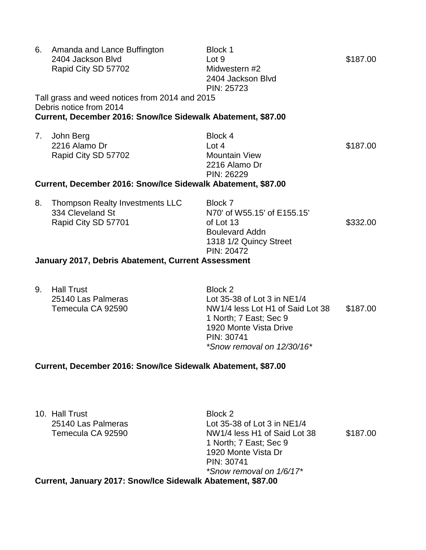| 6.                                                           | Amanda and Lance Buffington<br>2404 Jackson Blvd<br>Rapid City SD 57702                                                                   | Block 1<br>Lot 9<br>Midwestern #2<br>2404 Jackson Blvd<br>PIN: 25723                                                 | \$187.00 |  |  |  |
|--------------------------------------------------------------|-------------------------------------------------------------------------------------------------------------------------------------------|----------------------------------------------------------------------------------------------------------------------|----------|--|--|--|
|                                                              | Tall grass and weed notices from 2014 and 2015<br>Debris notice from 2014<br>Current, December 2016: Snow/Ice Sidewalk Abatement, \$87.00 |                                                                                                                      |          |  |  |  |
| 7.                                                           | John Berg<br>2216 Alamo Dr<br>Rapid City SD 57702                                                                                         | Block 4<br>Lot $4$<br><b>Mountain View</b><br>2216 Alamo Dr<br>PIN: 26229                                            | \$187.00 |  |  |  |
| Current, December 2016: Snow/Ice Sidewalk Abatement, \$87.00 |                                                                                                                                           |                                                                                                                      |          |  |  |  |
| 8.                                                           | Thompson Realty Investments LLC<br>334 Cleveland St<br>Rapid City SD 57701<br>January 2017, Debris Abatement, Current Assessment          | Block 7<br>N70' of W55.15' of E155.15'<br>of Lot 13<br><b>Boulevard Addn</b><br>1318 1/2 Quincy Street<br>PIN: 20472 | \$332.00 |  |  |  |
|                                                              |                                                                                                                                           |                                                                                                                      |          |  |  |  |

9. Hall Trust Block 2

25140 Las Palmeras Lot 35-38 of Lot 3 in NE1/4 Temecula CA 92590 NW1/4 less Lot H1 of Said Lot 38 \$187.00 1 North; 7 East; Sec 9 1920 Monte Vista Drive PIN: 30741 *\*Snow removal on 12/30/16\**

## **Current, December 2016: Snow/Ice Sidewalk Abatement, \$87.00**

10. Hall Trust Block 2

25140 Las Palmeras Lot 35-38 of Lot 3 in NE1/4 Temecula CA 92590 NW1/4 less H1 of Said Lot 38 \$187.00 1 North; 7 East; Sec 9 1920 Monte Vista Dr PIN: 30741 *\*Snow removal on 1/6/17\**

**Current, January 2017: Snow/Ice Sidewalk Abatement, \$87.00**